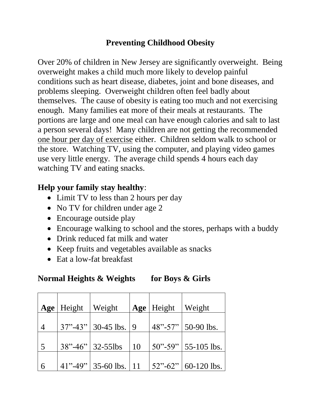## **Preventing Childhood Obesity**

Over 20% of children in New Jersey are significantly overweight. Being overweight makes a child much more likely to develop painful conditions such as heart disease, diabetes, joint and bone diseases, and problems sleeping. Overweight children often feel badly about themselves. The cause of obesity is eating too much and not exercising enough. Many families eat more of their meals at restaurants. The portions are large and one meal can have enough calories and salt to last a person several days! Many children are not getting the recommended one hour per day of exercise either. Children seldom walk to school or the store. Watching TV, using the computer, and playing video games use very little energy. The average child spends 4 hours each day watching TV and eating snacks.

## **Help your family stay healthy**:

- Limit TV to less than 2 hours per day
- No TV for children under age 2
- Encourage outside play
- Encourage walking to school and the stores, perhaps with a buddy
- Drink reduced fat milk and water
- Keep fruits and vegetables available as snacks
- Eat a low-fat breakfast

## **Normal Heights & Weights for Boys & Girls**

|                | Age   Height   Weight |                             |    | Age   Height | Weight                    |
|----------------|-----------------------|-----------------------------|----|--------------|---------------------------|
|                |                       |                             |    |              |                           |
| $\overline{4}$ |                       | $37" - 43"$ 30-45 lbs. 9    |    |              | $48" - 57"$ 50-90 lbs.    |
|                |                       |                             |    |              |                           |
| $\overline{5}$ |                       | $38" - 46"$ 32-55lbs        | 10 |              | $50"$ -59"   55-105 lbs.  |
|                |                       |                             |    |              |                           |
| $\vert 6$      |                       | $41" - 49"$ 35-60 lbs.   11 |    |              | $ 52"$ -62"   60-120 lbs. |